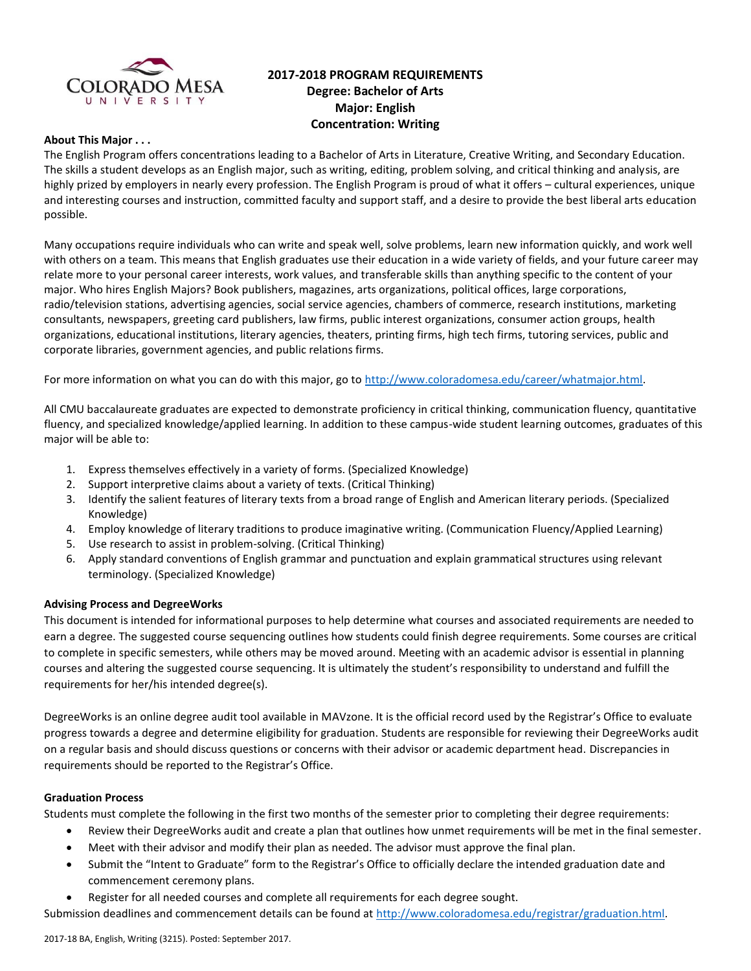

# **2017-2018 PROGRAM REQUIREMENTS Degree: Bachelor of Arts Major: English Concentration: Writing**

# **About This Major . . .**

The English Program offers concentrations leading to a Bachelor of Arts in Literature, Creative Writing, and Secondary Education. The skills a student develops as an English major, such as writing, editing, problem solving, and critical thinking and analysis, are highly prized by employers in nearly every profession. The English Program is proud of what it offers – cultural experiences, unique and interesting courses and instruction, committed faculty and support staff, and a desire to provide the best liberal arts education possible.

Many occupations require individuals who can write and speak well, solve problems, learn new information quickly, and work well with others on a team. This means that English graduates use their education in a wide variety of fields, and your future career may relate more to your personal career interests, work values, and transferable skills than anything specific to the content of your major. Who hires English Majors? Book publishers, magazines, arts organizations, political offices, large corporations, radio/television stations, advertising agencies, social service agencies, chambers of commerce, research institutions, marketing consultants, newspapers, greeting card publishers, law firms, public interest organizations, consumer action groups, health organizations, educational institutions, literary agencies, theaters, printing firms, high tech firms, tutoring services, public and corporate libraries, government agencies, and public relations firms.

For more information on what you can do with this major, go to [http://www.coloradomesa.edu/career/whatmajor.html.](http://www.coloradomesa.edu/career/whatmajor.html)

All CMU baccalaureate graduates are expected to demonstrate proficiency in critical thinking, communication fluency, quantitative fluency, and specialized knowledge/applied learning. In addition to these campus-wide student learning outcomes, graduates of this major will be able to:

- 1. Express themselves effectively in a variety of forms. (Specialized Knowledge)
- 2. Support interpretive claims about a variety of texts. (Critical Thinking)
- 3. Identify the salient features of literary texts from a broad range of English and American literary periods. (Specialized Knowledge)
- 4. Employ knowledge of literary traditions to produce imaginative writing. (Communication Fluency/Applied Learning)
- 5. Use research to assist in problem-solving. (Critical Thinking)
- 6. Apply standard conventions of English grammar and punctuation and explain grammatical structures using relevant terminology. (Specialized Knowledge)

#### **Advising Process and DegreeWorks**

This document is intended for informational purposes to help determine what courses and associated requirements are needed to earn a degree. The suggested course sequencing outlines how students could finish degree requirements. Some courses are critical to complete in specific semesters, while others may be moved around. Meeting with an academic advisor is essential in planning courses and altering the suggested course sequencing. It is ultimately the student's responsibility to understand and fulfill the requirements for her/his intended degree(s).

DegreeWorks is an online degree audit tool available in MAVzone. It is the official record used by the Registrar's Office to evaluate progress towards a degree and determine eligibility for graduation. Students are responsible for reviewing their DegreeWorks audit on a regular basis and should discuss questions or concerns with their advisor or academic department head. Discrepancies in requirements should be reported to the Registrar's Office.

#### **Graduation Process**

Students must complete the following in the first two months of the semester prior to completing their degree requirements:

- Review their DegreeWorks audit and create a plan that outlines how unmet requirements will be met in the final semester.
- Meet with their advisor and modify their plan as needed. The advisor must approve the final plan.
- Submit the "Intent to Graduate" form to the Registrar's Office to officially declare the intended graduation date and commencement ceremony plans.
- Register for all needed courses and complete all requirements for each degree sought.

Submission deadlines and commencement details can be found at [http://www.coloradomesa.edu/registrar/graduation.html.](http://www.coloradomesa.edu/registrar/graduation.html)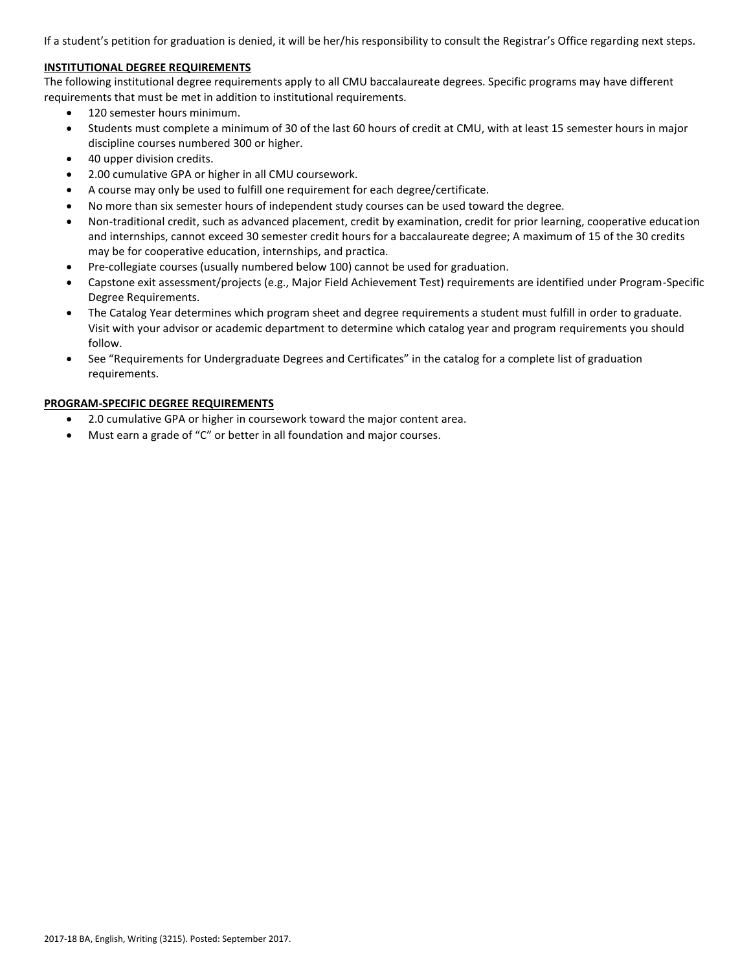If a student's petition for graduation is denied, it will be her/his responsibility to consult the Registrar's Office regarding next steps.

### **INSTITUTIONAL DEGREE REQUIREMENTS**

The following institutional degree requirements apply to all CMU baccalaureate degrees. Specific programs may have different requirements that must be met in addition to institutional requirements.

- 120 semester hours minimum.
- Students must complete a minimum of 30 of the last 60 hours of credit at CMU, with at least 15 semester hours in major discipline courses numbered 300 or higher.
- 40 upper division credits.
- 2.00 cumulative GPA or higher in all CMU coursework.
- A course may only be used to fulfill one requirement for each degree/certificate.
- No more than six semester hours of independent study courses can be used toward the degree.
- Non-traditional credit, such as advanced placement, credit by examination, credit for prior learning, cooperative education and internships, cannot exceed 30 semester credit hours for a baccalaureate degree; A maximum of 15 of the 30 credits may be for cooperative education, internships, and practica.
- Pre-collegiate courses (usually numbered below 100) cannot be used for graduation.
- Capstone exit assessment/projects (e.g., Major Field Achievement Test) requirements are identified under Program-Specific Degree Requirements.
- The Catalog Year determines which program sheet and degree requirements a student must fulfill in order to graduate. Visit with your advisor or academic department to determine which catalog year and program requirements you should follow.
- See "Requirements for Undergraduate Degrees and Certificates" in the catalog for a complete list of graduation requirements.

#### **PROGRAM-SPECIFIC DEGREE REQUIREMENTS**

- 2.0 cumulative GPA or higher in coursework toward the major content area.
- Must earn a grade of "C" or better in all foundation and major courses.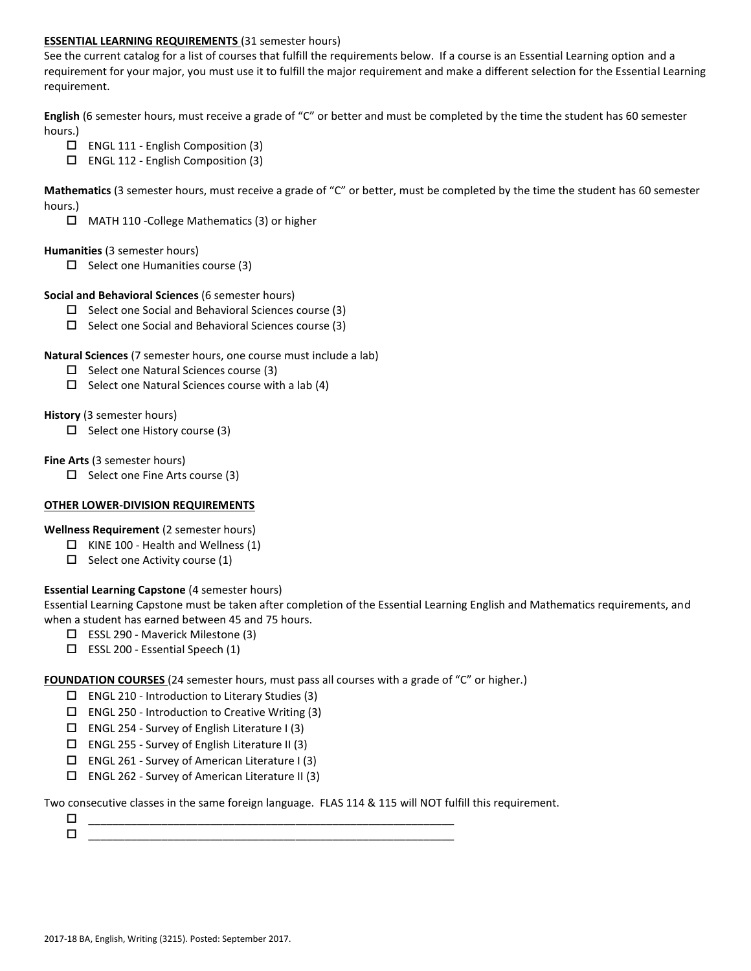### **ESSENTIAL LEARNING REQUIREMENTS** (31 semester hours)

See the current catalog for a list of courses that fulfill the requirements below. If a course is an Essential Learning option and a requirement for your major, you must use it to fulfill the major requirement and make a different selection for the Essential Learning requirement.

**English** (6 semester hours, must receive a grade of "C" or better and must be completed by the time the student has 60 semester hours.)

- ENGL 111 English Composition (3)
- ENGL 112 English Composition (3)

**Mathematics** (3 semester hours, must receive a grade of "C" or better, must be completed by the time the student has 60 semester hours.)

MATH 110 -College Mathematics (3) or higher

#### **Humanities** (3 semester hours)

 $\Box$  Select one Humanities course (3)

#### **Social and Behavioral Sciences** (6 semester hours)

- $\Box$  Select one Social and Behavioral Sciences course (3)
- $\Box$  Select one Social and Behavioral Sciences course (3)

### **Natural Sciences** (7 semester hours, one course must include a lab)

- $\square$  Select one Natural Sciences course (3)
- $\Box$  Select one Natural Sciences course with a lab (4)

### **History** (3 semester hours)

 $\Box$  Select one History course (3)

### **Fine Arts** (3 semester hours)

 $\Box$  Select one Fine Arts course (3)

#### **OTHER LOWER-DIVISION REQUIREMENTS**

**Wellness Requirement** (2 semester hours)

- $\Box$  KINE 100 Health and Wellness (1)
- $\Box$  Select one Activity course (1)

# **Essential Learning Capstone** (4 semester hours)

Essential Learning Capstone must be taken after completion of the Essential Learning English and Mathematics requirements, and when a student has earned between 45 and 75 hours.

- ESSL 290 Maverick Milestone (3)
- $\square$  ESSL 200 Essential Speech (1)

**FOUNDATION COURSES** (24 semester hours, must pass all courses with a grade of "C" or higher.)

- $\Box$  ENGL 210 Introduction to Literary Studies (3)
- $\square$  ENGL 250 Introduction to Creative Writing (3)
- $\square$  ENGL 254 Survey of English Literature I (3)
- $\square$  ENGL 255 Survey of English Literature II (3)
- $\Box$  ENGL 261 Survey of American Literature I (3)
- $\square$  ENGL 262 Survey of American Literature II (3)

Two consecutive classes in the same foreign language. FLAS 114 & 115 will NOT fulfill this requirement.

 \_\_\_\_\_\_\_\_\_\_\_\_\_\_\_\_\_\_\_\_\_\_\_\_\_\_\_\_\_\_\_\_\_\_\_\_\_\_\_\_\_\_\_\_\_\_\_\_\_\_\_\_\_\_\_\_\_\_\_\_  $\Box$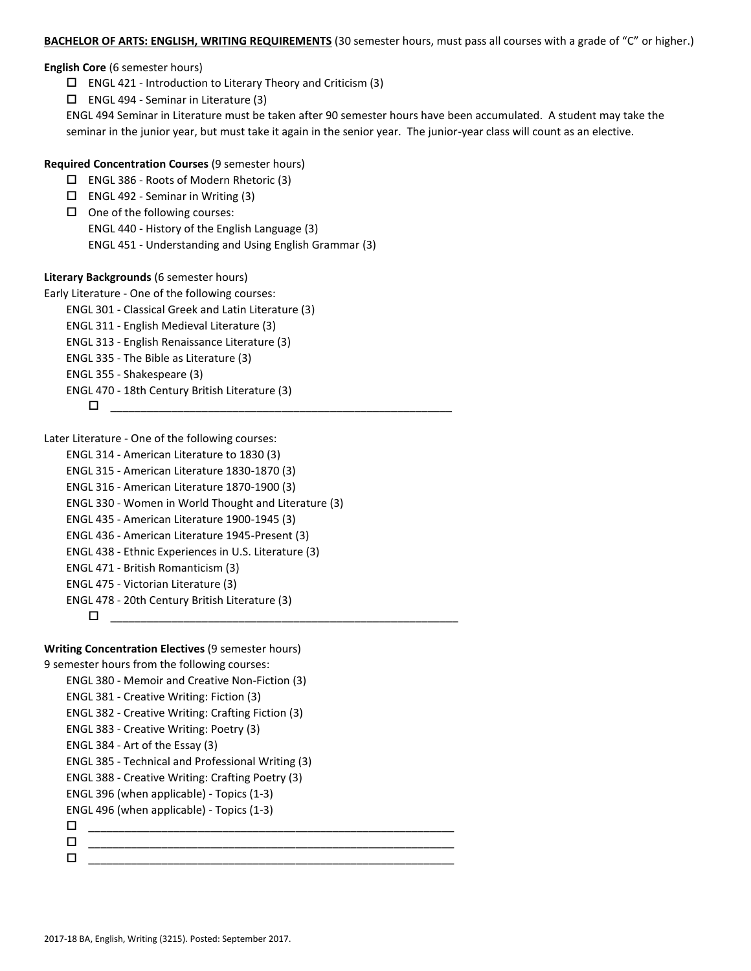#### **BACHELOR OF ARTS: ENGLISH, WRITING REQUIREMENTS** (30 semester hours, must pass all courses with a grade of "C" or higher.)

**English Core** (6 semester hours)

- $\Box$  ENGL 421 Introduction to Literary Theory and Criticism (3)
- $\square$  ENGL 494 Seminar in Literature (3)

ENGL 494 Seminar in Literature must be taken after 90 semester hours have been accumulated. A student may take the seminar in the junior year, but must take it again in the senior year. The junior-year class will count as an elective.

### **Required Concentration Courses** (9 semester hours)

- ENGL 386 Roots of Modern Rhetoric (3)
- $\square$  ENGL 492 Seminar in Writing (3)
- $\Box$  One of the following courses: ENGL 440 - History of the English Language (3) ENGL 451 - Understanding and Using English Grammar (3)

#### **Literary Backgrounds** (6 semester hours)

- Early Literature One of the following courses:
	- ENGL 301 Classical Greek and Latin Literature (3)
	- ENGL 311 English Medieval Literature (3)
	- ENGL 313 English Renaissance Literature (3)
	- ENGL 335 The Bible as Literature (3)
	- ENGL 355 Shakespeare (3)
	- ENGL 470 18th Century British Literature (3)

$$
\Box\hspace{1cm} \Box\hspace{1cm}
$$

Later Literature - One of the following courses:

```
ENGL 314 - American Literature to 1830 (3)
ENGL 315 - American Literature 1830-1870 (3)
ENGL 316 - American Literature 1870-1900 (3)
ENGL 330 - Women in World Thought and Literature (3) 
ENGL 435 - American Literature 1900-1945 (3)
ENGL 436 - American Literature 1945-Present (3)
ENGL 438 - Ethnic Experiences in U.S. Literature (3)
ENGL 471 - British Romanticism (3)
ENGL 475 - Victorian Literature (3)
ENGL 478 - 20th Century British Literature (3)
     _________________________________________________________
```
#### **Writing Concentration Electives** (9 semester hours)

9 semester hours from the following courses:

```
ENGL 380 - Memoir and Creative Non-Fiction (3)
ENGL 381 - Creative Writing: Fiction (3)
ENGL 382 - Creative Writing: Crafting Fiction (3)
ENGL 383 - Creative Writing: Poetry (3)
ENGL 384 - Art of the Essay (3)
ENGL 385 - Technical and Professional Writing (3)
ENGL 388 - Creative Writing: Crafting Poetry (3)
ENGL 396 (when applicable) - Topics (1-3)
ENGL 496 (when applicable) - Topics (1-3)
 ____________________________________________________________
 ____________________________________________________________
 ____________________________________________________________
```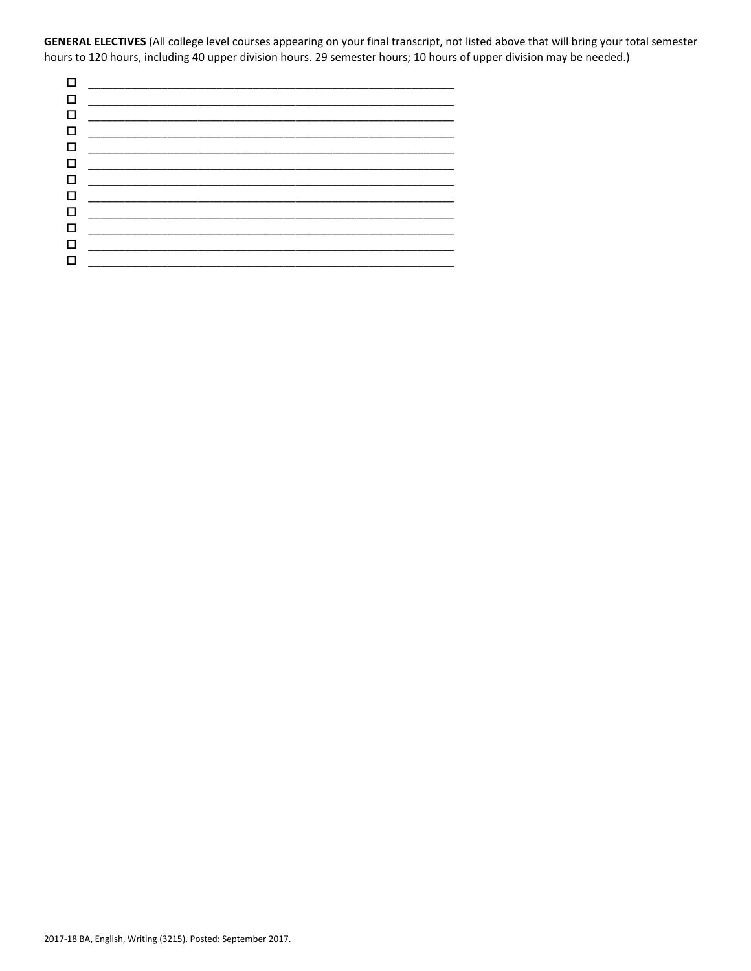**GENERAL ELECTIVES** (All college level courses appearing on your final transcript, not listed above that will bring your total semester hours to 120 hours, including 40 upper division hours. 29 semester hours; 10 hours of upper division may be needed.)

| □      |                                                                                                                      |  |
|--------|----------------------------------------------------------------------------------------------------------------------|--|
| □      |                                                                                                                      |  |
| □      |                                                                                                                      |  |
| □      | <u> 1989 - Jan James James James James James James James James James James James James James James James James J</u> |  |
| $\Box$ |                                                                                                                      |  |
| □      |                                                                                                                      |  |
| □      |                                                                                                                      |  |
| □      |                                                                                                                      |  |
| □      |                                                                                                                      |  |
| $\Box$ |                                                                                                                      |  |
| □      |                                                                                                                      |  |
| □      |                                                                                                                      |  |
|        |                                                                                                                      |  |